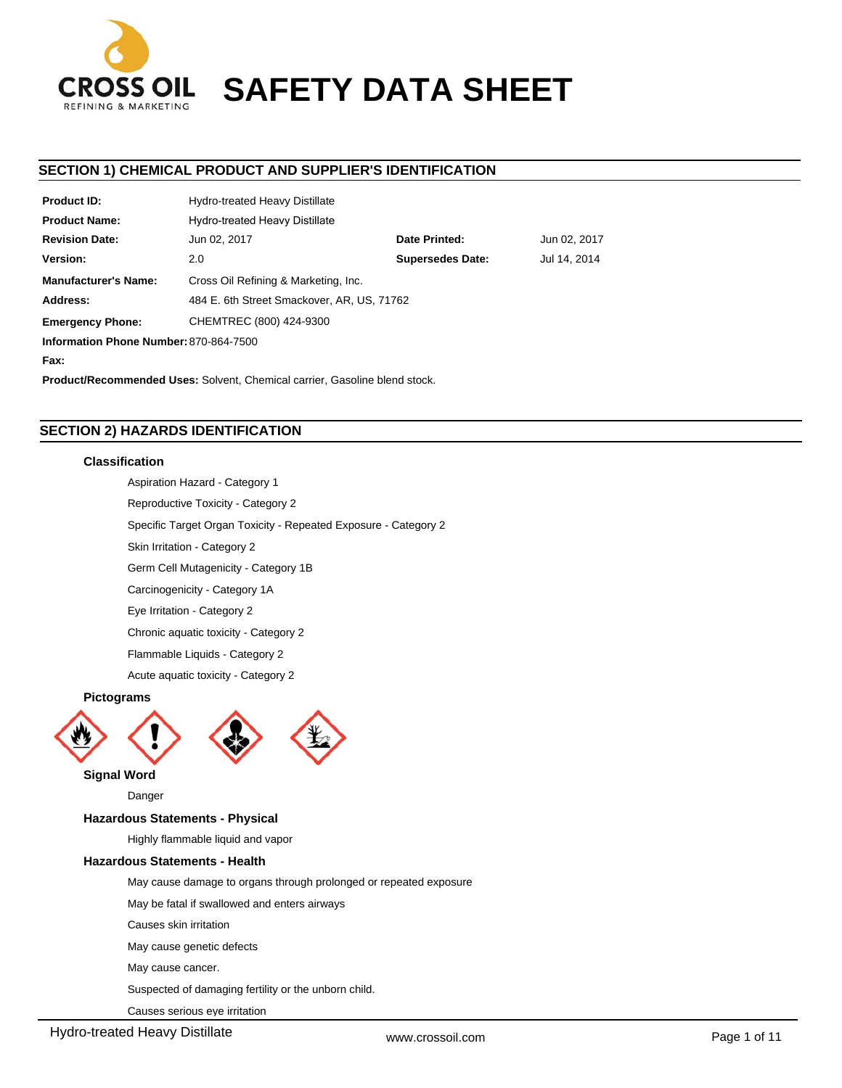

# **CROSS OIL SAFETY DATA SHEET**

# **SECTION 1) CHEMICAL PRODUCT AND SUPPLIER'S IDENTIFICATION**

| Hydro-treated Heavy Distillate                |                         |              |  |  |  |
|-----------------------------------------------|-------------------------|--------------|--|--|--|
| <b>Hydro-treated Heavy Distillate</b>         |                         |              |  |  |  |
| Date Printed:<br>Jun 02, 2017<br>Jun 02, 2017 |                         |              |  |  |  |
| 2.0                                           | <b>Supersedes Date:</b> | Jul 14, 2014 |  |  |  |
| Cross Oil Refining & Marketing, Inc.          |                         |              |  |  |  |
| 484 E. 6th Street Smackover, AR, US, 71762    |                         |              |  |  |  |
| CHEMTREC (800) 424-9300                       |                         |              |  |  |  |
| Information Phone Number: 870-864-7500        |                         |              |  |  |  |
|                                               |                         |              |  |  |  |
|                                               |                         |              |  |  |  |

**Product/Recommended Uses:** Solvent, Chemical carrier, Gasoline blend stock.

# **SECTION 2) HAZARDS IDENTIFICATION**

# **Classification**

Aspiration Hazard - Category 1

Reproductive Toxicity - Category 2

Specific Target Organ Toxicity - Repeated Exposure - Category 2

Skin Irritation - Category 2

Germ Cell Mutagenicity - Category 1B

Carcinogenicity - Category 1A

Eye Irritation - Category 2

Chronic aquatic toxicity - Category 2

Flammable Liquids - Category 2

Acute aquatic toxicity - Category 2

# **Pictograms**





# **Signal Word**

Danger

# **Hazardous Statements - Physical**

Highly flammable liquid and vapor

# **Hazardous Statements - Health**

May cause damage to organs through prolonged or repeated exposure

May be fatal if swallowed and enters airways

Causes skin irritation

May cause genetic defects

May cause cancer.

Suspected of damaging fertility or the unborn child.

Causes serious eye irritation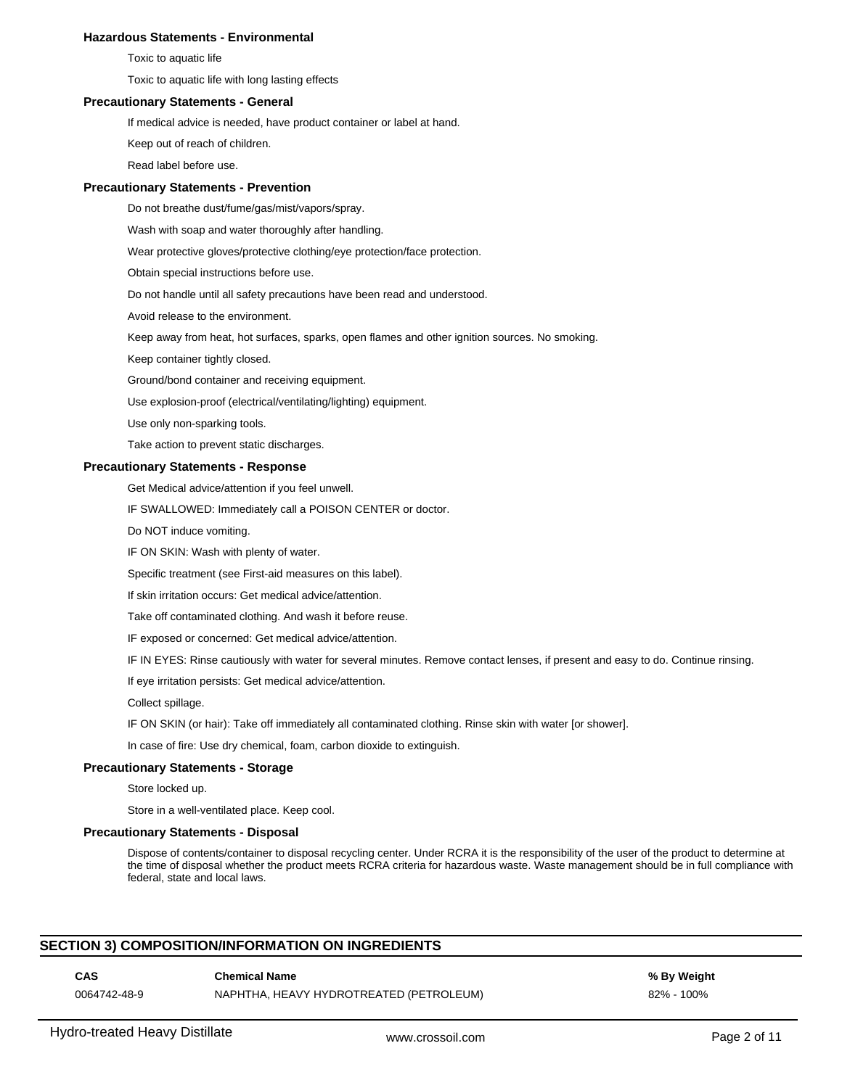#### **Hazardous Statements - Environmental**

Toxic to aquatic life

Toxic to aquatic life with long lasting effects

# **Precautionary Statements - General**

If medical advice is needed, have product container or label at hand.

Keep out of reach of children.

Read label before use.

#### **Precautionary Statements - Prevention**

Do not breathe dust/fume/gas/mist/vapors/spray.

Wash with soap and water thoroughly after handling.

Wear protective gloves/protective clothing/eye protection/face protection.

Obtain special instructions before use.

Do not handle until all safety precautions have been read and understood.

Avoid release to the environment.

Keep away from heat, hot surfaces, sparks, open flames and other ignition sources. No smoking.

Keep container tightly closed.

Ground/bond container and receiving equipment.

Use explosion-proof (electrical/ventilating/lighting) equipment.

Use only non-sparking tools.

Take action to prevent static discharges.

#### **Precautionary Statements - Response**

Get Medical advice/attention if you feel unwell.

IF SWALLOWED: Immediately call a POISON CENTER or doctor.

Do NOT induce vomiting.

IF ON SKIN: Wash with plenty of water.

Specific treatment (see First-aid measures on this label).

If skin irritation occurs: Get medical advice/attention.

Take off contaminated clothing. And wash it before reuse.

IF exposed or concerned: Get medical advice/attention.

IF IN EYES: Rinse cautiously with water for several minutes. Remove contact lenses, if present and easy to do. Continue rinsing.

If eye irritation persists: Get medical advice/attention.

Collect spillage.

IF ON SKIN (or hair): Take off immediately all contaminated clothing. Rinse skin with water [or shower].

In case of fire: Use dry chemical, foam, carbon dioxide to extinguish.

# **Precautionary Statements - Storage**

Store locked up.

Store in a well-ventilated place. Keep cool.

#### **Precautionary Statements - Disposal**

Dispose of contents/container to disposal recycling center. Under RCRA it is the responsibility of the user of the product to determine at the time of disposal whether the product meets RCRA criteria for hazardous waste. Waste management should be in full compliance with federal, state and local laws.

#### **SECTION 3) COMPOSITION/INFORMATION ON INGREDIENTS**

# **CAS Chemical Name % By Weight**

0064742-48-9 NAPHTHA, HEAVY HYDROTREATED (PETROLEUM) 82% - 100%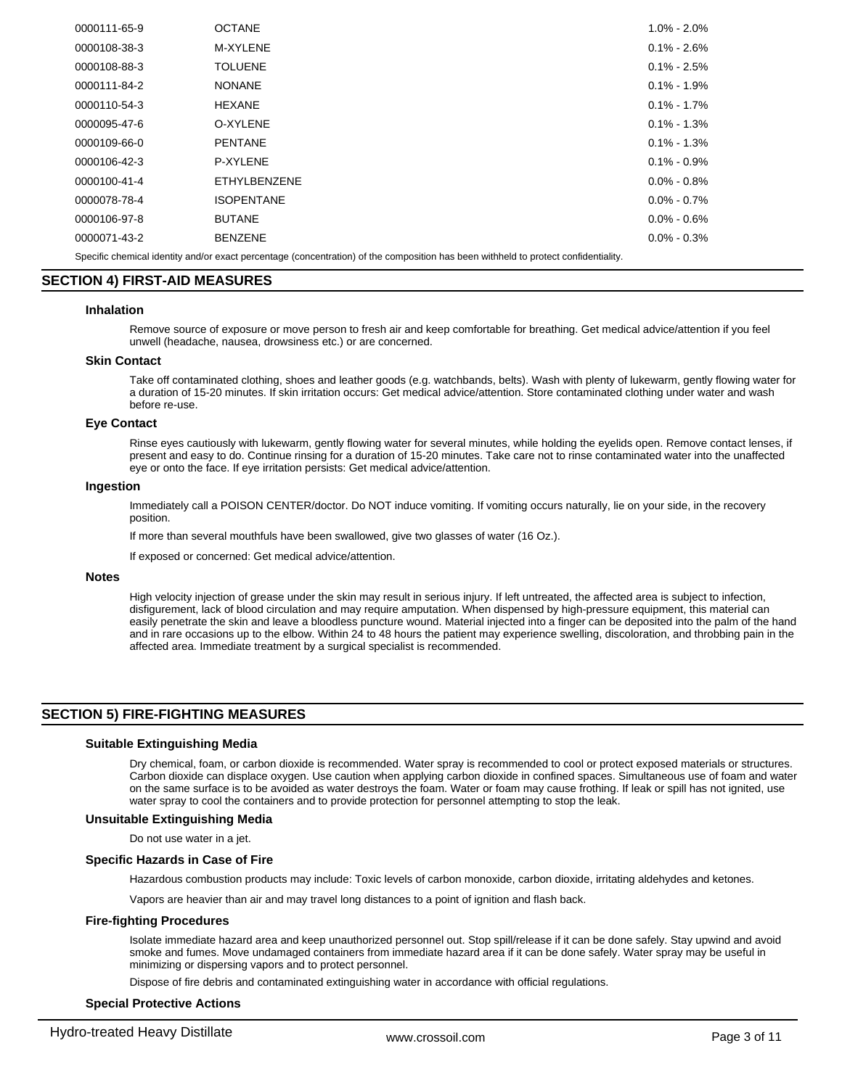| 0000111-65-9                                                                                                                        | <b>OCTANE</b>       | $1.0\% - 2.0\%$ |  |  |  |
|-------------------------------------------------------------------------------------------------------------------------------------|---------------------|-----------------|--|--|--|
| 0000108-38-3                                                                                                                        | M-XYLENE            | $0.1\% - 2.6\%$ |  |  |  |
| 0000108-88-3                                                                                                                        | <b>TOLUENE</b>      | $0.1\% - 2.5\%$ |  |  |  |
| 0000111-84-2                                                                                                                        | <b>NONANE</b>       | $0.1\% - 1.9\%$ |  |  |  |
| 0000110-54-3                                                                                                                        | <b>HEXANE</b>       | $0.1\% - 1.7\%$ |  |  |  |
| 0000095-47-6                                                                                                                        | O-XYLENE            | $0.1\% - 1.3\%$ |  |  |  |
| 0000109-66-0                                                                                                                        | <b>PENTANE</b>      | $0.1\% - 1.3\%$ |  |  |  |
| 0000106-42-3                                                                                                                        | P-XYLENE            | $0.1\% - 0.9\%$ |  |  |  |
| 0000100-41-4                                                                                                                        | <b>ETHYLBENZENE</b> | $0.0\% - 0.8\%$ |  |  |  |
| 0000078-78-4                                                                                                                        | <b>ISOPENTANE</b>   | $0.0\% - 0.7\%$ |  |  |  |
| 0000106-97-8                                                                                                                        | <b>BUTANE</b>       | $0.0\% - 0.6\%$ |  |  |  |
| 0000071-43-2                                                                                                                        | <b>BENZENE</b>      | $0.0\% - 0.3\%$ |  |  |  |
| Specific chemical identity and/or exact percentage (concentration) of the composition has been withheld to protect confidentiality. |                     |                 |  |  |  |

# **SECTION 4) FIRST-AID MEASURES**

#### **Inhalation**

Remove source of exposure or move person to fresh air and keep comfortable for breathing. Get medical advice/attention if you feel unwell (headache, nausea, drowsiness etc.) or are concerned.

#### **Skin Contact**

Take off contaminated clothing, shoes and leather goods (e.g. watchbands, belts). Wash with plenty of lukewarm, gently flowing water for a duration of 15-20 minutes. If skin irritation occurs: Get medical advice/attention. Store contaminated clothing under water and wash before re-use.

#### **Eye Contact**

Rinse eyes cautiously with lukewarm, gently flowing water for several minutes, while holding the eyelids open. Remove contact lenses, if present and easy to do. Continue rinsing for a duration of 15-20 minutes. Take care not to rinse contaminated water into the unaffected eye or onto the face. If eye irritation persists: Get medical advice/attention.

#### **Ingestion**

Immediately call a POISON CENTER/doctor. Do NOT induce vomiting. If vomiting occurs naturally, lie on your side, in the recovery position.

If more than several mouthfuls have been swallowed, give two glasses of water (16 Oz.).

If exposed or concerned: Get medical advice/attention.

#### **Notes**

High velocity injection of grease under the skin may result in serious injury. If left untreated, the affected area is subject to infection, disfigurement, lack of blood circulation and may require amputation. When dispensed by high-pressure equipment, this material can easily penetrate the skin and leave a bloodless puncture wound. Material injected into a finger can be deposited into the palm of the hand and in rare occasions up to the elbow. Within 24 to 48 hours the patient may experience swelling, discoloration, and throbbing pain in the affected area. Immediate treatment by a surgical specialist is recommended.

#### **SECTION 5) FIRE-FIGHTING MEASURES**

#### **Suitable Extinguishing Media**

Dry chemical, foam, or carbon dioxide is recommended. Water spray is recommended to cool or protect exposed materials or structures. Carbon dioxide can displace oxygen. Use caution when applying carbon dioxide in confined spaces. Simultaneous use of foam and water on the same surface is to be avoided as water destroys the foam. Water or foam may cause frothing. If leak or spill has not ignited, use water spray to cool the containers and to provide protection for personnel attempting to stop the leak.

#### **Unsuitable Extinguishing Media**

Do not use water in a jet.

#### **Specific Hazards in Case of Fire**

Hazardous combustion products may include: Toxic levels of carbon monoxide, carbon dioxide, irritating aldehydes and ketones.

Vapors are heavier than air and may travel long distances to a point of ignition and flash back.

#### **Fire-fighting Procedures**

Isolate immediate hazard area and keep unauthorized personnel out. Stop spill/release if it can be done safely. Stay upwind and avoid smoke and fumes. Move undamaged containers from immediate hazard area if it can be done safely. Water spray may be useful in minimizing or dispersing vapors and to protect personnel.

Dispose of fire debris and contaminated extinguishing water in accordance with official regulations.

#### **Special Protective Actions**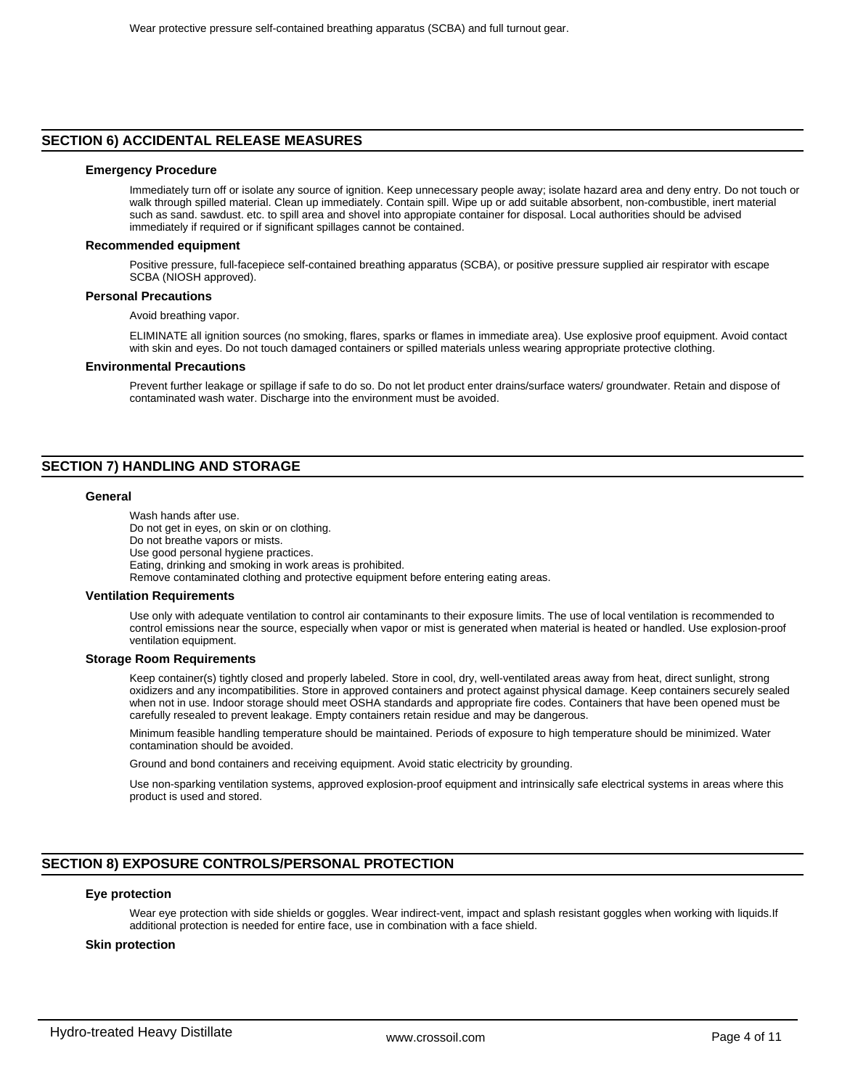#### **SECTION 6) ACCIDENTAL RELEASE MEASURES**

#### **Emergency Procedure**

Immediately turn off or isolate any source of ignition. Keep unnecessary people away; isolate hazard area and deny entry. Do not touch or walk through spilled material. Clean up immediately. Contain spill. Wipe up or add suitable absorbent, non-combustible, inert material such as sand. sawdust. etc. to spill area and shovel into appropiate container for disposal. Local authorities should be advised immediately if required or if significant spillages cannot be contained.

#### **Recommended equipment**

Positive pressure, full-facepiece self-contained breathing apparatus (SCBA), or positive pressure supplied air respirator with escape SCBA (NIOSH approved).

#### **Personal Precautions**

Avoid breathing vapor.

ELIMINATE all ignition sources (no smoking, flares, sparks or flames in immediate area). Use explosive proof equipment. Avoid contact with skin and eyes. Do not touch damaged containers or spilled materials unless wearing appropriate protective clothing.

#### **Environmental Precautions**

Prevent further leakage or spillage if safe to do so. Do not let product enter drains/surface waters/ groundwater. Retain and dispose of contaminated wash water. Discharge into the environment must be avoided.

# **SECTION 7) HANDLING AND STORAGE**

#### **General**

Wash hands after use. Do not get in eyes, on skin or on clothing. Do not breathe vapors or mists. Use good personal hygiene practices. Eating, drinking and smoking in work areas is prohibited. Remove contaminated clothing and protective equipment before entering eating areas.

#### **Ventilation Requirements**

Use only with adequate ventilation to control air contaminants to their exposure limits. The use of local ventilation is recommended to control emissions near the source, especially when vapor or mist is generated when material is heated or handled. Use explosion-proof ventilation equipment.

#### **Storage Room Requirements**

Keep container(s) tightly closed and properly labeled. Store in cool, dry, well-ventilated areas away from heat, direct sunlight, strong oxidizers and any incompatibilities. Store in approved containers and protect against physical damage. Keep containers securely sealed when not in use. Indoor storage should meet OSHA standards and appropriate fire codes. Containers that have been opened must be carefully resealed to prevent leakage. Empty containers retain residue and may be dangerous.

Minimum feasible handling temperature should be maintained. Periods of exposure to high temperature should be minimized. Water contamination should be avoided.

Ground and bond containers and receiving equipment. Avoid static electricity by grounding.

Use non-sparking ventilation systems, approved explosion-proof equipment and intrinsically safe electrical systems in areas where this product is used and stored.

# **SECTION 8) EXPOSURE CONTROLS/PERSONAL PROTECTION**

#### **Eye protection**

Wear eye protection with side shields or goggles. Wear indirect-vent, impact and splash resistant goggles when working with liquids.If additional protection is needed for entire face, use in combination with a face shield.

#### **Skin protection**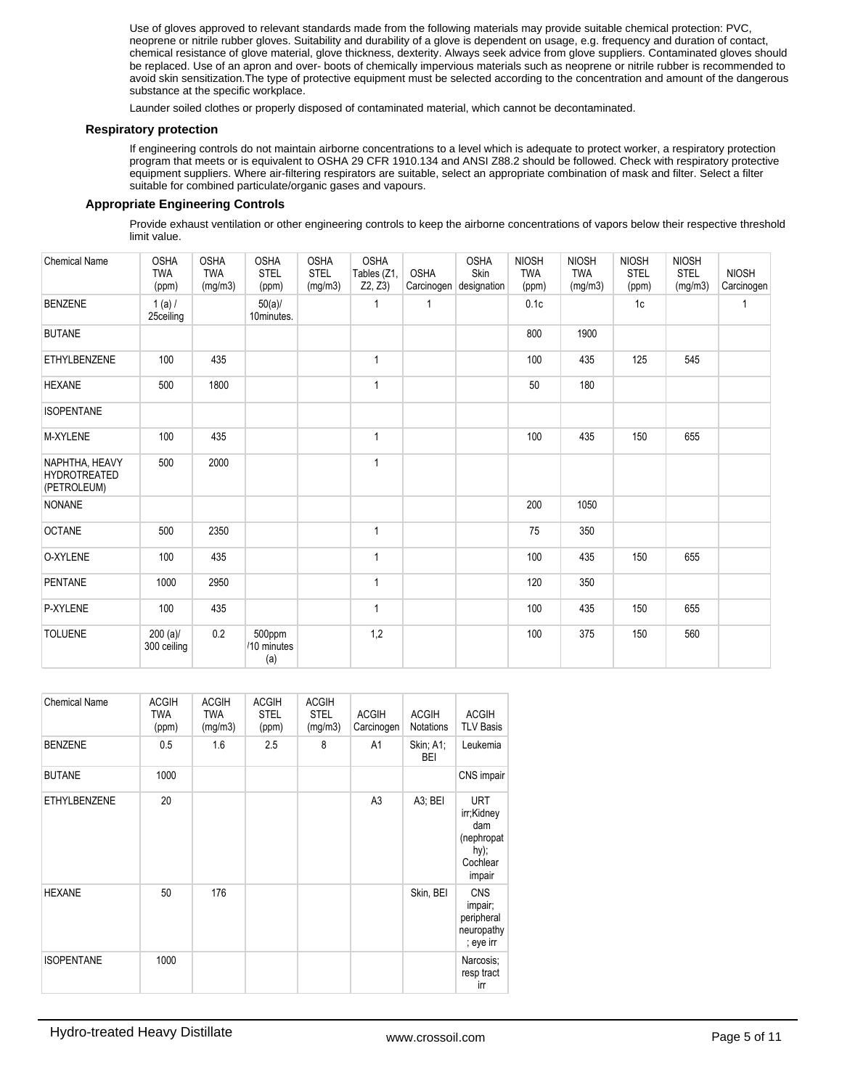Use of gloves approved to relevant standards made from the following materials may provide suitable chemical protection: PVC, neoprene or nitrile rubber gloves. Suitability and durability of a glove is dependent on usage, e.g. frequency and duration of contact, chemical resistance of glove material, glove thickness, dexterity. Always seek advice from glove suppliers. Contaminated gloves should be replaced. Use of an apron and over- boots of chemically impervious materials such as neoprene or nitrile rubber is recommended to avoid skin sensitization.The type of protective equipment must be selected according to the concentration and amount of the dangerous substance at the specific workplace.

Launder soiled clothes or properly disposed of contaminated material, which cannot be decontaminated.

#### **Respiratory protection**

If engineering controls do not maintain airborne concentrations to a level which is adequate to protect worker, a respiratory protection program that meets or is equivalent to OSHA 29 CFR 1910.134 and ANSI Z88.2 should be followed. Check with respiratory protective equipment suppliers. Where air-filtering respirators are suitable, select an appropriate combination of mask and filter. Select a filter suitable for combined particulate/organic gases and vapours.

# **Appropriate Engineering Controls**

Provide exhaust ventilation or other engineering controls to keep the airborne concentrations of vapors below their respective threshold limit value.

| <b>Chemical Name</b>                          | <b>OSHA</b><br><b>TWA</b><br>(ppm) | <b>OSHA</b><br><b>TWA</b><br>(mg/m3) | <b>OSHA</b><br><b>STEL</b><br>(ppm) | <b>OSHA</b><br><b>STEL</b><br>(mg/m3) | <b>OSHA</b><br>Tables (Z1,<br>Z2, Z3 | <b>OSHA</b> | <b>OSHA</b><br>Skin<br>Carcinogen designation | <b>NIOSH</b><br><b>TWA</b><br>(ppm) | <b>NIOSH</b><br><b>TWA</b><br>(mg/m3) | <b>NIOSH</b><br><b>STEL</b><br>(ppm) | <b>NIOSH</b><br><b>STEL</b><br>(mg/m3) | <b>NIOSH</b><br>Carcinogen |
|-----------------------------------------------|------------------------------------|--------------------------------------|-------------------------------------|---------------------------------------|--------------------------------------|-------------|-----------------------------------------------|-------------------------------------|---------------------------------------|--------------------------------------|----------------------------------------|----------------------------|
| <b>BENZENE</b>                                | $1(a)$ /<br>25ceiling              |                                      | $50(a)$ /<br>10minutes.             |                                       |                                      |             |                                               | 0.1c                                |                                       | 1c                                   |                                        | 1                          |
| <b>BUTANE</b>                                 |                                    |                                      |                                     |                                       |                                      |             |                                               | 800                                 | 1900                                  |                                      |                                        |                            |
| <b>ETHYLBENZENE</b>                           | 100                                | 435                                  |                                     |                                       | $\mathbf{1}$                         |             |                                               | 100                                 | 435                                   | 125                                  | 545                                    |                            |
| <b>HEXANE</b>                                 | 500                                | 1800                                 |                                     |                                       | 1                                    |             |                                               | 50                                  | 180                                   |                                      |                                        |                            |
| <b>ISOPENTANE</b>                             |                                    |                                      |                                     |                                       |                                      |             |                                               |                                     |                                       |                                      |                                        |                            |
| M-XYLENE                                      | 100                                | 435                                  |                                     |                                       | $\mathbf{1}$                         |             |                                               | 100                                 | 435                                   | 150                                  | 655                                    |                            |
| NAPHTHA, HEAVY<br>HYDROTREATED<br>(PETROLEUM) | 500                                | 2000                                 |                                     |                                       | $\overline{1}$                       |             |                                               |                                     |                                       |                                      |                                        |                            |
| <b>NONANE</b>                                 |                                    |                                      |                                     |                                       |                                      |             |                                               | 200                                 | 1050                                  |                                      |                                        |                            |
| <b>OCTANE</b>                                 | 500                                | 2350                                 |                                     |                                       | 1                                    |             |                                               | 75                                  | 350                                   |                                      |                                        |                            |
| O-XYLENE                                      | 100                                | 435                                  |                                     |                                       | $\overline{1}$                       |             |                                               | 100                                 | 435                                   | 150                                  | 655                                    |                            |
| PENTANE                                       | 1000                               | 2950                                 |                                     |                                       | $\mathbf{1}$                         |             |                                               | 120                                 | 350                                   |                                      |                                        |                            |
| P-XYLENE                                      | 100                                | 435                                  |                                     |                                       | 1                                    |             |                                               | 100                                 | 435                                   | 150                                  | 655                                    |                            |
| <b>TOLUENE</b>                                | $200 (a)$ /<br>300 ceiling         | 0.2                                  | 500ppm<br>/10 minutes<br>(a)        |                                       | 1,2                                  |             |                                               | 100                                 | 375                                   | 150                                  | 560                                    |                            |

| <b>Chemical Name</b> | <b>ACGIH</b><br><b>TWA</b><br>(ppm) | <b>ACGIH</b><br><b>TWA</b><br>(mg/m3) | <b>ACGIH</b><br><b>STEL</b><br>(ppm) | <b>ACGIH</b><br><b>STEL</b><br>(mg/m3) | <b>ACGIH</b><br>Carcinogen | <b>ACGIH</b><br><b>Notations</b> | <b>ACGIH</b><br><b>TLV Basis</b>                                               |
|----------------------|-------------------------------------|---------------------------------------|--------------------------------------|----------------------------------------|----------------------------|----------------------------------|--------------------------------------------------------------------------------|
| <b>BENZENE</b>       | 0.5                                 | 1.6                                   | 2.5                                  | 8                                      | A1                         | Skin; A1;<br><b>BEI</b>          | Leukemia                                                                       |
| <b>BUTANE</b>        | 1000                                |                                       |                                      |                                        |                            |                                  | CNS impair                                                                     |
| <b>ETHYLBENZENE</b>  | 20                                  |                                       |                                      |                                        | A <sub>3</sub>             | A3; BEI                          | <b>URT</b><br>irr;Kidney<br>dam<br>(nephropat<br>$hy)$ ;<br>Cochlear<br>impair |
| <b>HEXANE</b>        | 50                                  | 176                                   |                                      |                                        |                            | Skin, BEI                        | <b>CNS</b><br>impair;<br>peripheral<br>neuropathy<br>; eye irr                 |
| <b>ISOPENTANE</b>    | 1000                                |                                       |                                      |                                        |                            |                                  | Narcosis;<br>resp tract<br>irr                                                 |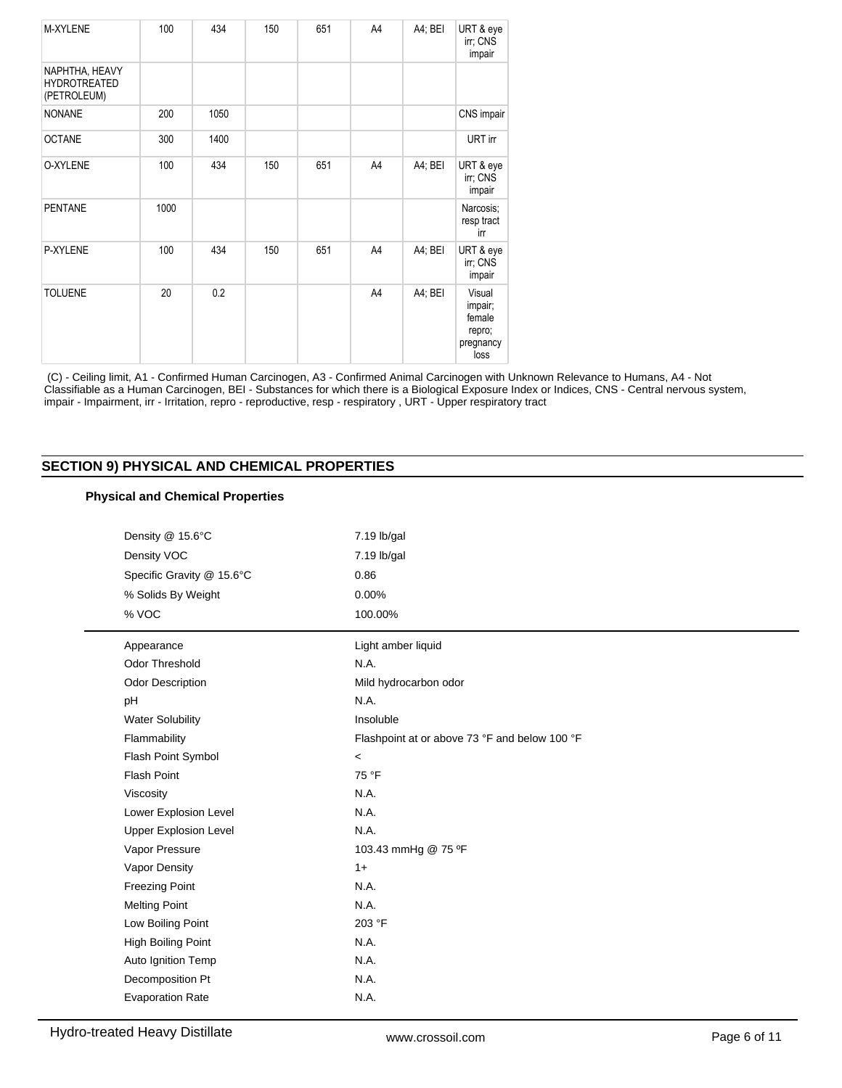| M-XYLENE                                             | 100  | 434  | 150 | 651 | A4 | A4; BEI | URT & eye<br>irr; CNS<br>impair                            |
|------------------------------------------------------|------|------|-----|-----|----|---------|------------------------------------------------------------|
| NAPHTHA, HEAVY<br><b>HYDROTREATED</b><br>(PETROLEUM) |      |      |     |     |    |         |                                                            |
| <b>NONANE</b>                                        | 200  | 1050 |     |     |    |         | CNS impair                                                 |
| <b>OCTANE</b>                                        | 300  | 1400 |     |     |    |         | URT irr                                                    |
| O-XYLENE                                             | 100  | 434  | 150 | 651 | A4 | A4; BEI | URT & eye<br>irr; CNS<br>impair                            |
| <b>PENTANE</b>                                       | 1000 |      |     |     |    |         | Narcosis:<br>resp tract<br>irr                             |
| P-XYLENE                                             | 100  | 434  | 150 | 651 | A4 | A4; BEI | URT & eye<br>irr; CNS<br>impair                            |
| <b>TOLUENE</b>                                       | 20   | 0.2  |     |     | A4 | A4; BEI | Visual<br>impair;<br>female<br>repro;<br>pregnancy<br>loss |

 (C) - Ceiling limit, A1 - Confirmed Human Carcinogen, A3 - Confirmed Animal Carcinogen with Unknown Relevance to Humans, A4 - Not Classifiable as a Human Carcinogen, BEI - Substances for which there is a Biological Exposure Index or Indices, CNS - Central nervous system, impair - Impairment, irr - Irritation, repro - reproductive, resp - respiratory , URT - Upper respiratory tract

# **SECTION 9) PHYSICAL AND CHEMICAL PROPERTIES**

# **Physical and Chemical Properties**

| Density @ 15.6°C             | 7.19 lb/gal                                   |
|------------------------------|-----------------------------------------------|
| Density VOC                  | 7.19 lb/gal                                   |
| Specific Gravity @ 15.6°C    | 0.86                                          |
| % Solids By Weight           | 0.00%                                         |
| % VOC                        | 100.00%                                       |
| Appearance                   | Light amber liquid                            |
| Odor Threshold               | N.A.                                          |
| Odor Description             | Mild hydrocarbon odor                         |
| pH                           | N.A.                                          |
| <b>Water Solubility</b>      | Insoluble                                     |
| Flammability                 | Flashpoint at or above 73 °F and below 100 °F |
| Flash Point Symbol           | $\,<$                                         |
| <b>Flash Point</b>           | 75 °F                                         |
| Viscosity                    | N.A.                                          |
| Lower Explosion Level        | N.A.                                          |
| <b>Upper Explosion Level</b> | N.A.                                          |
| Vapor Pressure               | 103.43 mmHg @ 75 °F                           |
| Vapor Density                | $1+$                                          |
| <b>Freezing Point</b>        | N.A.                                          |
| <b>Melting Point</b>         | N.A.                                          |
| Low Boiling Point            | 203 °F                                        |
| <b>High Boiling Point</b>    | N.A.                                          |
| Auto Ignition Temp           | N.A.                                          |
| Decomposition Pt             | N.A.                                          |
| <b>Evaporation Rate</b>      | N.A.                                          |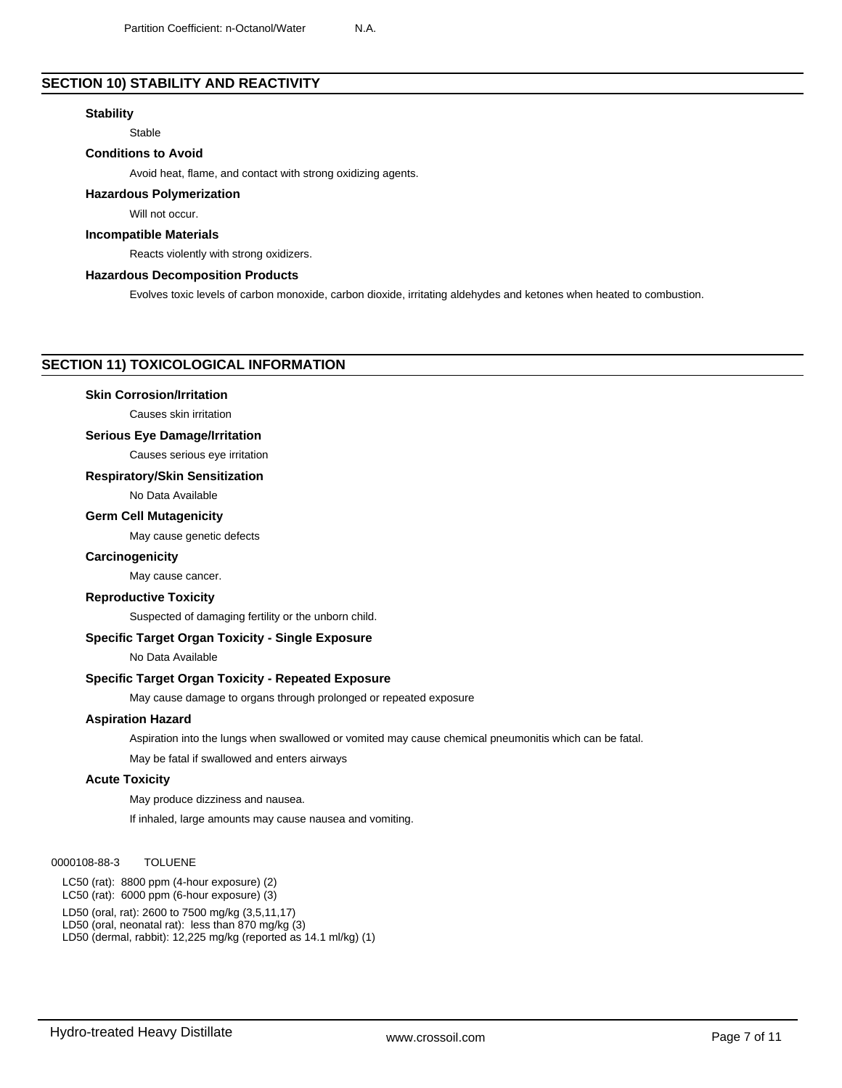# **SECTION 10) STABILITY AND REACTIVITY**

#### **Stability**

Stable

#### **Conditions to Avoid**

Avoid heat, flame, and contact with strong oxidizing agents.

#### **Hazardous Polymerization**

Will not occur.

#### **Incompatible Materials**

Reacts violently with strong oxidizers.

#### **Hazardous Decomposition Products**

Evolves toxic levels of carbon monoxide, carbon dioxide, irritating aldehydes and ketones when heated to combustion.

#### **SECTION 11) TOXICOLOGICAL INFORMATION**

#### **Skin Corrosion/Irritation**

Causes skin irritation

#### **Serious Eye Damage/Irritation**

Causes serious eye irritation

# **Respiratory/Skin Sensitization**

No Data Available

## **Germ Cell Mutagenicity**

May cause genetic defects

#### **Carcinogenicity**

May cause cancer.

#### **Reproductive Toxicity**

Suspected of damaging fertility or the unborn child.

# **Specific Target Organ Toxicity - Single Exposure**

No Data Available

# **Specific Target Organ Toxicity - Repeated Exposure**

May cause damage to organs through prolonged or repeated exposure

#### **Aspiration Hazard**

Aspiration into the lungs when swallowed or vomited may cause chemical pneumonitis which can be fatal.

May be fatal if swallowed and enters airways

#### **Acute Toxicity**

May produce dizziness and nausea.

If inhaled, large amounts may cause nausea and vomiting.

#### 0000108-88-3 TOLUENE

LC50 (rat): 8800 ppm (4-hour exposure) (2) LC50 (rat): 6000 ppm (6-hour exposure) (3)

LD50 (oral, rat): 2600 to 7500 mg/kg (3,5,11,17)

LD50 (oral, neonatal rat): less than 870 mg/kg (3)

LD50 (dermal, rabbit): 12,225 mg/kg (reported as 14.1 ml/kg) (1)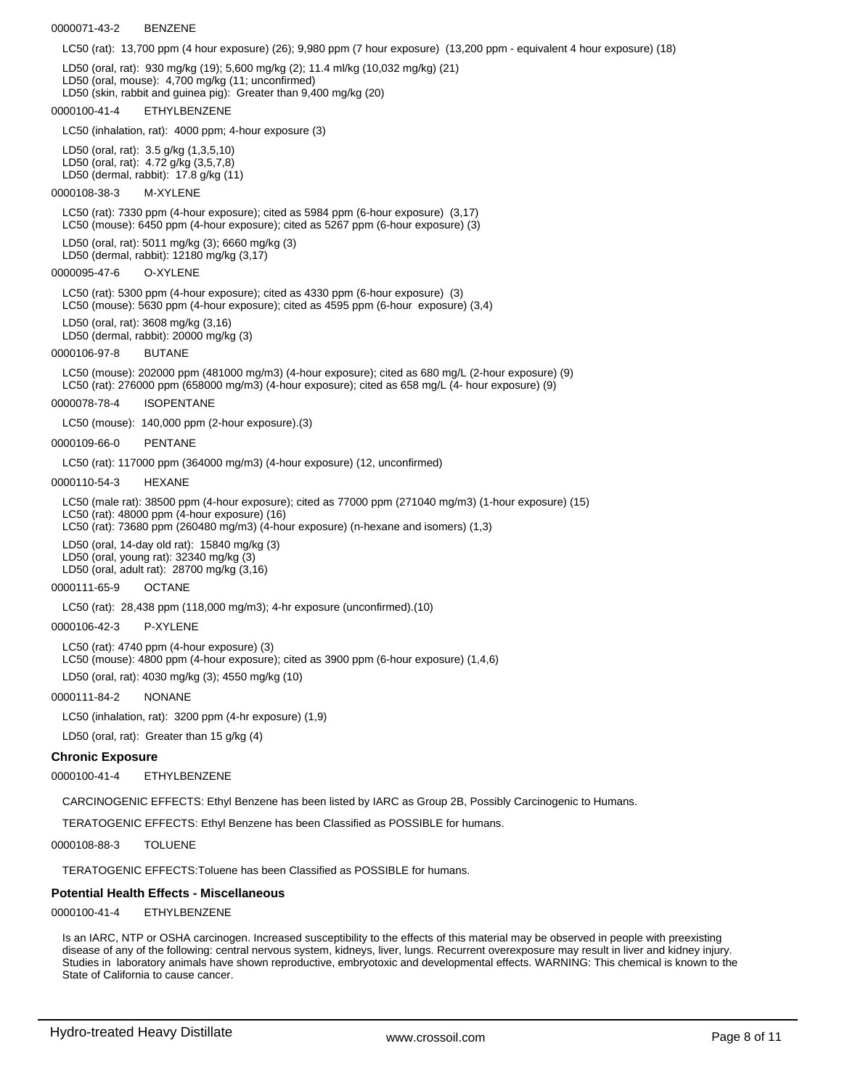#### 0000071-43-2 BENZENE

LC50 (rat): 13,700 ppm (4 hour exposure) (26); 9,980 ppm (7 hour exposure) (13,200 ppm - equivalent 4 hour exposure) (18)

LD50 (oral, rat): 930 mg/kg (19); 5,600 mg/kg (2); 11.4 ml/kg (10,032 mg/kg) (21) LD50 (oral, mouse): 4,700 mg/kg (11; unconfirmed) LD50 (skin, rabbit and guinea pig): Greater than 9,400 mg/kg (20) 0000100-41-4 ETHYLBENZENE LC50 (inhalation, rat): 4000 ppm; 4-hour exposure (3) LD50 (oral, rat): 3.5 g/kg (1,3,5,10) LD50 (oral, rat): 4.72 g/kg (3,5,7,8) LD50 (dermal, rabbit): 17.8 g/kg (11) 0000108-38-3 M-XYLENE LC50 (rat): 7330 ppm (4-hour exposure); cited as 5984 ppm (6-hour exposure) (3,17) LC50 (mouse): 6450 ppm (4-hour exposure); cited as 5267 ppm (6-hour exposure) (3) LD50 (oral, rat): 5011 mg/kg (3); 6660 mg/kg (3) LD50 (dermal, rabbit): 12180 mg/kg (3,17) 0000095-47-6 O-XYLENE LC50 (rat): 5300 ppm (4-hour exposure); cited as 4330 ppm (6-hour exposure) (3) LC50 (mouse): 5630 ppm (4-hour exposure); cited as 4595 ppm (6-hour exposure) (3,4) LD50 (oral, rat): 3608 mg/kg (3,16) LD50 (dermal, rabbit): 20000 mg/kg (3) 0000106-97-8 BUTANE LC50 (mouse): 202000 ppm (481000 mg/m3) (4-hour exposure); cited as 680 mg/L (2-hour exposure) (9) LC50 (rat): 276000 ppm (658000 mg/m3) (4-hour exposure); cited as 658 mg/L (4- hour exposure) (9) 0000078-78-4 ISOPENTANE LC50 (mouse): 140,000 ppm (2-hour exposure).(3) 0000109-66-0 PENTANE LC50 (rat): 117000 ppm (364000 mg/m3) (4-hour exposure) (12, unconfirmed) 0000110-54-3 HEXANE LC50 (male rat): 38500 ppm (4-hour exposure); cited as 77000 ppm (271040 mg/m3) (1-hour exposure) (15) LC50 (rat): 48000 ppm (4-hour exposure) (16) LC50 (rat): 73680 ppm (260480 mg/m3) (4-hour exposure) (n-hexane and isomers) (1,3) LD50 (oral, 14-day old rat): 15840 mg/kg (3) LD50 (oral, young rat): 32340 mg/kg (3) LD50 (oral, adult rat): 28700 mg/kg (3,16) 0000111-65-9 OCTANE LC50 (rat): 28,438 ppm (118,000 mg/m3); 4-hr exposure (unconfirmed).(10) 0000106-42-3 P-XYLENE LC50 (rat): 4740 ppm (4-hour exposure) (3) LC50 (mouse): 4800 ppm (4-hour exposure); cited as 3900 ppm (6-hour exposure) (1,4,6) LD50 (oral, rat): 4030 mg/kg (3); 4550 mg/kg (10) 0000111-84-2 NONANE LC50 (inhalation, rat): 3200 ppm (4-hr exposure) (1,9)

LD50 (oral, rat): Greater than 15 g/kg (4)

#### **Chronic Exposure**

0000100-41-4 ETHYLBENZENE

CARCINOGENIC EFFECTS: Ethyl Benzene has been listed by IARC as Group 2B, Possibly Carcinogenic to Humans.

TERATOGENIC EFFECTS: Ethyl Benzene has been Classified as POSSIBLE for humans.

0000108-88-3 TOLUENE

TERATOGENIC EFFECTS:Toluene has been Classified as POSSIBLE for humans.

#### **Potential Health Effects - Miscellaneous**

0000100-41-4 ETHYLBENZENE

Is an IARC, NTP or OSHA carcinogen. Increased susceptibility to the effects of this material may be observed in people with preexisting disease of any of the following: central nervous system, kidneys, liver, lungs. Recurrent overexposure may result in liver and kidney injury. Studies in laboratory animals have shown reproductive, embryotoxic and developmental effects. WARNING: This chemical is known to the State of California to cause cancer.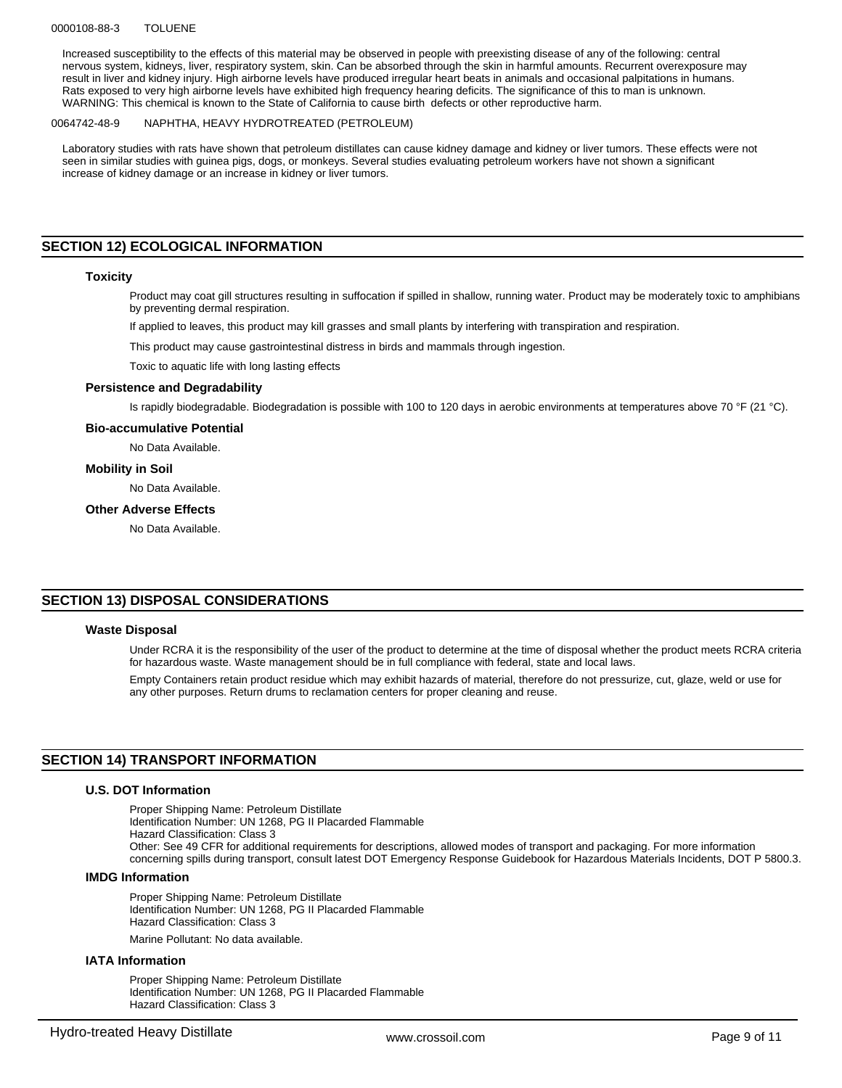#### 0000108-88-3 TOLUENE

Increased susceptibility to the effects of this material may be observed in people with preexisting disease of any of the following: central nervous system, kidneys, liver, respiratory system, skin. Can be absorbed through the skin in harmful amounts. Recurrent overexposure may result in liver and kidney injury. High airborne levels have produced irregular heart beats in animals and occasional palpitations in humans. Rats exposed to very high airborne levels have exhibited high frequency hearing deficits. The significance of this to man is unknown. WARNING: This chemical is known to the State of California to cause birth defects or other reproductive harm.

#### 0064742-48-9 NAPHTHA, HEAVY HYDROTREATED (PETROLEUM)

Laboratory studies with rats have shown that petroleum distillates can cause kidney damage and kidney or liver tumors. These effects were not seen in similar studies with guinea pigs, dogs, or monkeys. Several studies evaluating petroleum workers have not shown a significant increase of kidney damage or an increase in kidney or liver tumors.

# **SECTION 12) ECOLOGICAL INFORMATION**

#### **Toxicity**

Product may coat gill structures resulting in suffocation if spilled in shallow, running water. Product may be moderately toxic to amphibians by preventing dermal respiration.

If applied to leaves, this product may kill grasses and small plants by interfering with transpiration and respiration.

This product may cause gastrointestinal distress in birds and mammals through ingestion.

Toxic to aquatic life with long lasting effects

#### **Persistence and Degradability**

Is rapidly biodegradable. Biodegradation is possible with 100 to 120 days in aerobic environments at temperatures above 70 °F (21 °C).

#### **Bio-accumulative Potential**

No Data Available.

#### **Mobility in Soil**

No Data Available.

#### **Other Adverse Effects**

No Data Available.

#### **SECTION 13) DISPOSAL CONSIDERATIONS**

#### **Waste Disposal**

Under RCRA it is the responsibility of the user of the product to determine at the time of disposal whether the product meets RCRA criteria for hazardous waste. Waste management should be in full compliance with federal, state and local laws.

Empty Containers retain product residue which may exhibit hazards of material, therefore do not pressurize, cut, glaze, weld or use for any other purposes. Return drums to reclamation centers for proper cleaning and reuse.

#### **SECTION 14) TRANSPORT INFORMATION**

#### **U.S. DOT Information**

Proper Shipping Name: Petroleum Distillate Identification Number: UN 1268, PG II Placarded Flammable Hazard Classification: Class 3 Other: See 49 CFR for additional requirements for descriptions, allowed modes of transport and packaging. For more information concerning spills during transport, consult latest DOT Emergency Response Guidebook for Hazardous Materials Incidents, DOT P 5800.3.

#### **IMDG Information**

Proper Shipping Name: Petroleum Distillate Identification Number: UN 1268, PG II Placarded Flammable Hazard Classification: Class 3

Marine Pollutant: No data available.

#### **IATA Information**

Proper Shipping Name: Petroleum Distillate Identification Number: UN 1268, PG II Placarded Flammable Hazard Classification: Class 3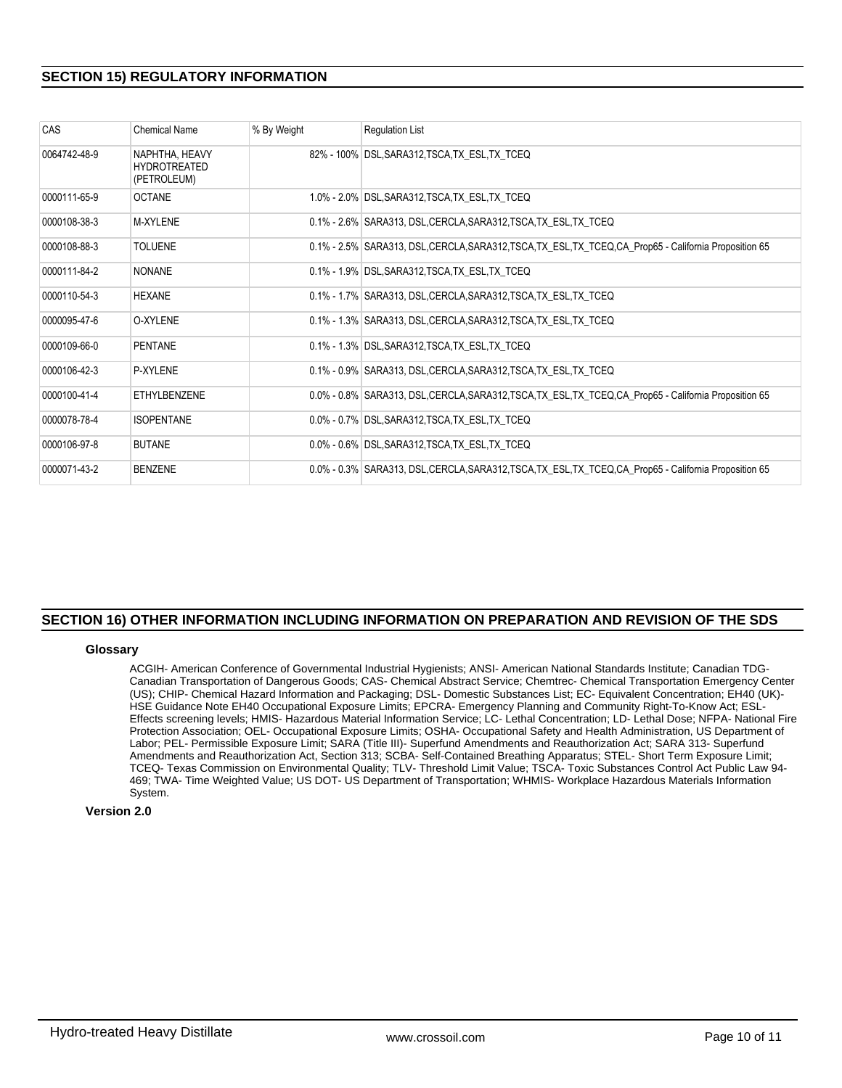# **SECTION 15) REGULATORY INFORMATION**

| CAS          | <b>Chemical Name</b>                                 | % By Weight | <b>Regulation List</b>                                                                                  |
|--------------|------------------------------------------------------|-------------|---------------------------------------------------------------------------------------------------------|
| 0064742-48-9 | NAPHTHA, HEAVY<br><b>HYDROTREATED</b><br>(PETROLEUM) |             | 82% - 100% DSL, SARA312, TSCA, TX_ESL, TX_TCEQ                                                          |
| 0000111-65-9 | <b>OCTANE</b>                                        |             | 1.0% - 2.0% DSL, SARA312, TSCA, TX ESL, TX TCEQ                                                         |
| 0000108-38-3 | M-XYLENE                                             |             | 0.1% - 2.6% SARA313, DSL, CERCLA, SARA312, TSCA, TX ESL, TX TCEQ                                        |
| 0000108-88-3 | <b>TOLUENE</b>                                       |             | 0.1% - 2.5% SARA313, DSL, CERCLA, SARA312, TSCA, TX_ESL, TX_TCEQ, CA_Prop65 - California Proposition 65 |
| 0000111-84-2 | <b>NONANE</b>                                        |             | 0.1% - 1.9% DSL, SARA312, TSCA, TX ESL, TX TCEQ                                                         |
| 0000110-54-3 | <b>HEXANE</b>                                        |             | 0.1% - 1.7% SARA313, DSL, CERCLA, SARA312, TSCA, TX_ESL, TX_TCEQ                                        |
| 0000095-47-6 | O-XYLENE                                             |             | 0.1% - 1.3% SARA313, DSL, CERCLA, SARA312, TSCA, TX_ESL, TX_TCEQ                                        |
| 0000109-66-0 | <b>PENTANE</b>                                       |             | 0.1% - 1.3% DSL, SARA312, TSCA, TX_ESL, TX_TCEQ                                                         |
| 0000106-42-3 | P-XYLENE                                             |             | 0.1% - 0.9% SARA313, DSL, CERCLA, SARA312, TSCA, TX ESL, TX TCEQ                                        |
| 0000100-41-4 | <b>ETHYLBENZENE</b>                                  |             | 0.0% - 0.8% SARA313, DSL, CERCLA, SARA312, TSCA, TX_ESL, TX_TCEQ, CA_Prop65 - California Proposition 65 |
| 0000078-78-4 | <b>ISOPENTANE</b>                                    |             | 0.0% - 0.7% DSL, SARA312, TSCA, TX ESL, TX TCEQ                                                         |
| 0000106-97-8 | <b>BUTANE</b>                                        |             | 0.0% - 0.6% DSL, SARA312, TSCA, TX_ESL, TX_TCEQ                                                         |
| 0000071-43-2 | <b>BENZENE</b>                                       |             | 0.0% - 0.3% SARA313, DSL,CERCLA,SARA312,TSCA,TX_ESL,TX_TCEQ,CA_Prop65 - California Proposition 65       |

# **SECTION 16) OTHER INFORMATION INCLUDING INFORMATION ON PREPARATION AND REVISION OF THE SDS**

#### **Glossary**

ACGIH- American Conference of Governmental Industrial Hygienists; ANSI- American National Standards Institute; Canadian TDG-Canadian Transportation of Dangerous Goods; CAS- Chemical Abstract Service; Chemtrec- Chemical Transportation Emergency Center (US); CHIP- Chemical Hazard Information and Packaging; DSL- Domestic Substances List; EC- Equivalent Concentration; EH40 (UK)- HSE Guidance Note EH40 Occupational Exposure Limits; EPCRA- Emergency Planning and Community Right-To-Know Act; ESL-Effects screening levels; HMIS- Hazardous Material Information Service; LC- Lethal Concentration; LD- Lethal Dose; NFPA- National Fire Protection Association; OEL- Occupational Exposure Limits; OSHA- Occupational Safety and Health Administration, US Department of Labor; PEL- Permissible Exposure Limit; SARA (Title III)- Superfund Amendments and Reauthorization Act; SARA 313- Superfund Amendments and Reauthorization Act, Section 313; SCBA- Self-Contained Breathing Apparatus; STEL- Short Term Exposure Limit; TCEQ- Texas Commission on Environmental Quality; TLV- Threshold Limit Value; TSCA- Toxic Substances Control Act Public Law 94- 469; TWA- Time Weighted Value; US DOT- US Department of Transportation; WHMIS- Workplace Hazardous Materials Information System.

#### **Version 2.0**